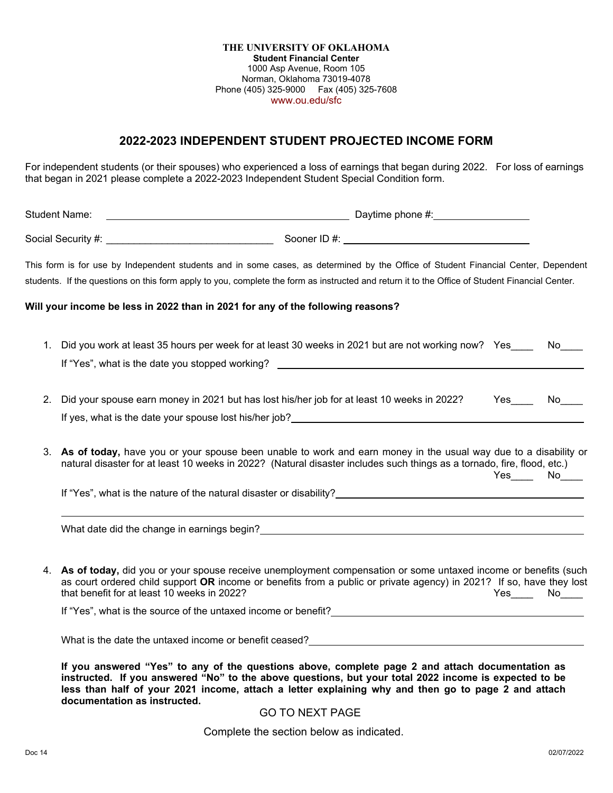**THE UNIVERSITY OF OKLAHOMA Student Financial Center** 1000 Asp Avenue, Room 105 Norman, Oklahoma 73019-4078 Phone (405) 325-9000 Fax (405) 325-7608 www.ou.edu/sfc

## **2022-2023 INDEPENDENT STUDENT PROJECTED INCOME FORM**

For independent students (or their spouses) who experienced a loss of earnings that began during 2022. For loss of earnings that began in 2021 please complete a 2022-2023 Independent Student Special Condition form.

| <b>Student Name:</b> |                                                                                 |                                                                                                                                                                                                                                                                                                                              |               |
|----------------------|---------------------------------------------------------------------------------|------------------------------------------------------------------------------------------------------------------------------------------------------------------------------------------------------------------------------------------------------------------------------------------------------------------------------|---------------|
|                      |                                                                                 |                                                                                                                                                                                                                                                                                                                              |               |
|                      |                                                                                 | This form is for use by Independent students and in some cases, as determined by the Office of Student Financial Center, Dependent<br>students. If the questions on this form apply to you, complete the form as instructed and return it to the Office of Student Financial Center.                                         |               |
|                      | Will your income be less in 2022 than in 2021 for any of the following reasons? |                                                                                                                                                                                                                                                                                                                              |               |
| 1.                   |                                                                                 | Did you work at least 35 hours per week for at least 30 weeks in 2021 but are not working now? Yes<br>If "Yes", what is the date you stopped working?                                                                                                                                                                        | No l          |
| 2.                   |                                                                                 | Did your spouse earn money in 2021 but has lost his/her job for at least 10 weeks in 2022?<br>If yes, what is the date your spouse lost his/her job? The manufacture of the state of the state of the state of the state of the state of the state of the state of the state of the state of the state of the state of the s | Yes No        |
|                      |                                                                                 | 3. As of today, have you or your spouse been unable to work and earn money in the usual way due to a disability or<br>natural disaster for at least 10 weeks in 2022? (Natural disaster includes such things as a tornado, fire, flood, etc.)                                                                                | $Yes$ No $No$ |
|                      |                                                                                 |                                                                                                                                                                                                                                                                                                                              |               |
|                      |                                                                                 | What date did the change in earnings begin?<br><u> What date did the change in earnings begin?</u>                                                                                                                                                                                                                           |               |
|                      | that benefit for at least 10 weeks in 2022?                                     | 4. As of today, did you or your spouse receive unemployment compensation or some untaxed income or benefits (such<br>as court ordered child support OR income or benefits from a public or private agency) in 2021? If so, have they lost                                                                                    | Yes No        |
|                      |                                                                                 | If "Yes", what is the source of the untaxed income or benefit?<br><u>If</u> "Yes", what is the source of the untaxed income or benefit?                                                                                                                                                                                      |               |
|                      |                                                                                 | What is the date the untaxed income or benefit ceased?<br><u> What is the date the untaxed income or benefit ceased?</u>                                                                                                                                                                                                     |               |
|                      |                                                                                 | المنافر والمنافس والمستحير والمستحيرة والمستحدث والمستحدث والمستحدث والمستحدث والمستحدث                                                                                                                                                                                                                                      |               |

**If you answered "Yes" to any of the questions above, complete page 2 and attach documentation as instructed. If you answered "No" to the above questions, but your total 2022 income is expected to be less than half of your 2021 income, attach a letter explaining why and then go to page 2 and attach documentation as instructed.**

## GO TO NEXT PAGE

Complete the section below as indicated.